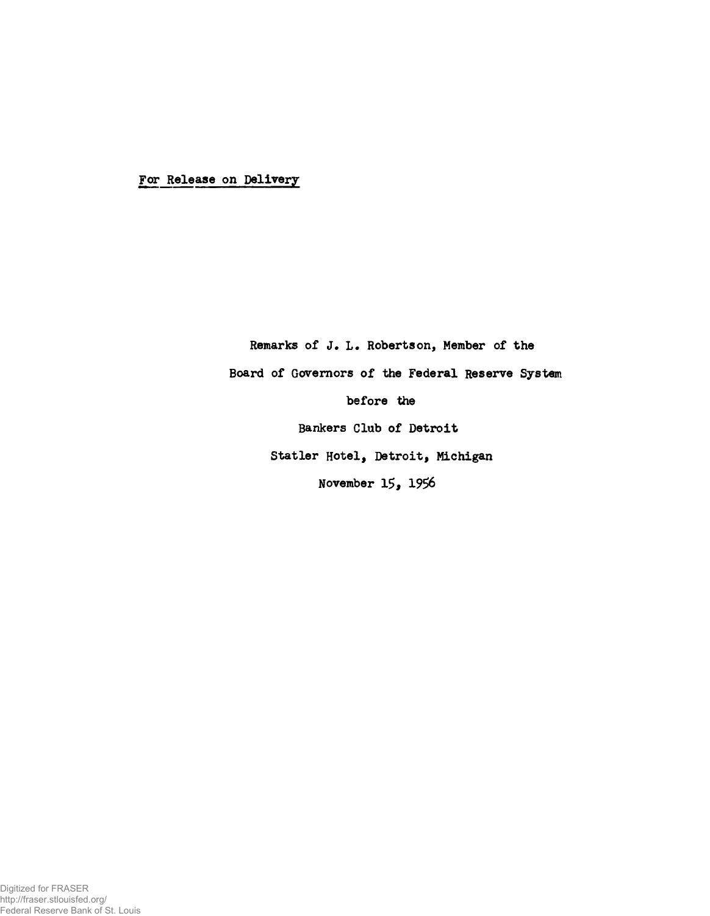For Release on Delivery

Remarks of J. L. Robertson, Member of the Board of Governors of the Federal Reserve System before the Bankers Club of Detroit Statler Hotel, Detroit, Michigan November 15, 1956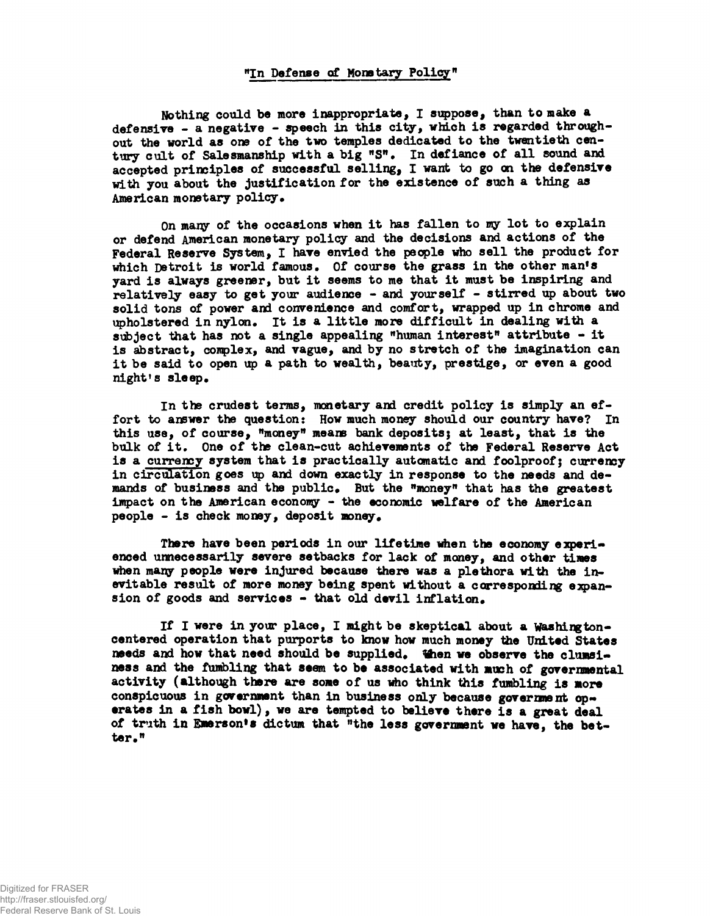**Nothing could be more inappropriate, I suppose, than to make a defensive - a negative - speech in this city, which is regarded through» out the world as 01» of the two temples dedicated to the twentieth century cult of Salesmanship with a big "S". In defiance of all sound and accepted principles of successful selling, I want to go on the defensive with you about the justification for the existence of such a thing as American monetary policy.**

**On many of the occasions when it has fallen to my lot to explain or defend American monetary policy and the decisions and actions of the Federal Reserve System, I have envied the people who sell the product for which Detroit is world famous. Of course the grass in the other man\*s yard is always greener, but it seems to me that it must be inspiring and relatively easy to get your audience - and yourself - stirred up about two solid tons of power and convenience and comfort, wrapped up in chrome and upholstered in nylon. It is a little more difficult in dealing with a subject that has not a single appealing "human interest" attribute - it is abstract, conplex, and vague, and by no stretch of the imagination can it be said to open up a path to wealth, beauty, prestige, or even a good night's sleep.**

**In the crudest terms, monetary and credit policy is simply an effort to answer the question: How much money should our country have? In this use, of course, "money" means bank deposits; at least, that is the bulk of it. One of the clean-cut achievements of the Federal Reserve Act is a currency system that is practically automatic and foolproof; currency in circulation goes up and down exactly in response to the needs and demands of business and the public. But the "money" that has the greatest impact on the American economy - the economic welfare of the American people - is check money, deposit money.**

**There have been periods in our lifetime when the economy experienced unnecessarily severe setbacks for lack of money, and other times** when many people were injured because there was a plethora with the inevitable result of more money being spent without a corresponding expan**sion of goods and services - that old devil inflation.**

If I were in your place, I might be skeptical about a Washington**centered operation that purports to know how much money the United States** needs and how that need should be supplied. When we observe the clumsi**ness and the fumbling that seem to be associated with mush of governmental activity (although there are some of us who think this fumbling is more** conspicuous in government than in business only because government op**erates in a fish bowl), we are tempted to believe there is a great deal** of truth in Emerson's dictum that "the less government we have, the bet**ter."**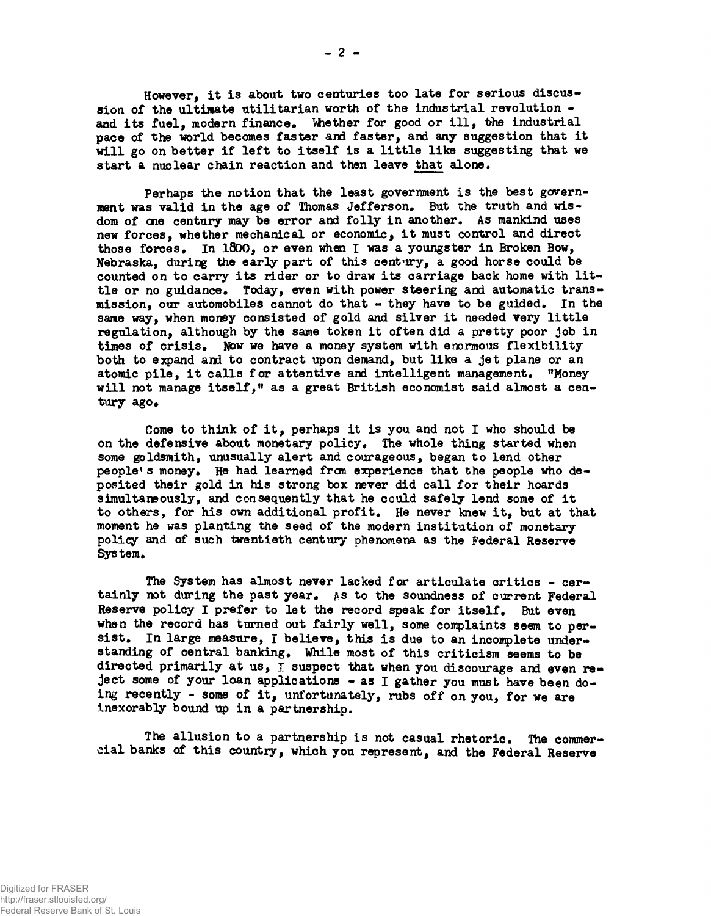**However, it is about two centuries too late for serious discussion of the ultimate utilitarian worth of the industrial revolution**  and its fuel, modern finance. Whether for good or ill, the industrial **pace of the world becomes faster and faster, and any suggestion that it will go on better if left to itself is a little like suggesting that we start a nuclear chain reaction and then leave that alone.**

**Perhaps the notion that the least government is the best government was valid in the age of Thomas Jefferson. But the truth and wisdom of cne century may be error and folly in another. As mankind uses new forces, whether mechanical or economic, it must control and direct those forces. In 1800, or even whan I was a youngster in Broken Bow,** Nebraska, during the early part of this century, a good horse could be **counted on to carry its rider or to draw its carriage back home with little or no guidance. Today, even with power steering and automatic transmission, our automobiles cannot do that - they have to be guided. In the same way, when money consisted of gold and silver it needed very little regulation, although by the same token it often did a pretty poor job in times of crisis. Now we have a money system with enormous flexibility both to expand and to contract upon demand, but like a jet plane or an atomic pile, it calls for attentive and intelligent management. "Money will not manage itself," as a great British economist said almost a cen**tury ago.

**Come to think of it, perhaps it is you and not I who should be on the defensive about monetary policy. The whole thing started when some goldsmith, unusually alert and courageous, began to lend other people\* s money. He had learned from experience that the people who deposited their gold in his strong box never did call for their hoards simultaneously, and consequently that he could safely lend some of it to others, for his own additional profit. He never knew it, but at that moment he was planting the seed of the modern institution of monetary policy and of such twentieth century phenomena as the Federal Reserve** System.

**The System has almost never lacked for articulate critics - certainly not during the past year, as to the soundness of current Federal Reserve policy I prefer to let the record speak for itself. But even** when the record has turned out fairly well, some complaints seem to per**sist. In large measure, I believe, this is due to an incomplete understanding of central banking. While most of this criticism seems to be directed primarily at us, 1 suspect that when you discourage and even reject some of your loan applications - as I gather you must have been doing recently - some of it, unfortunately, rubs off on you, for we are inexorably bound up in a partnership.**

**The allusion to a partnership is not casual rhetoric. The commercial banks of this country, which you represent, and the Federal Reserve**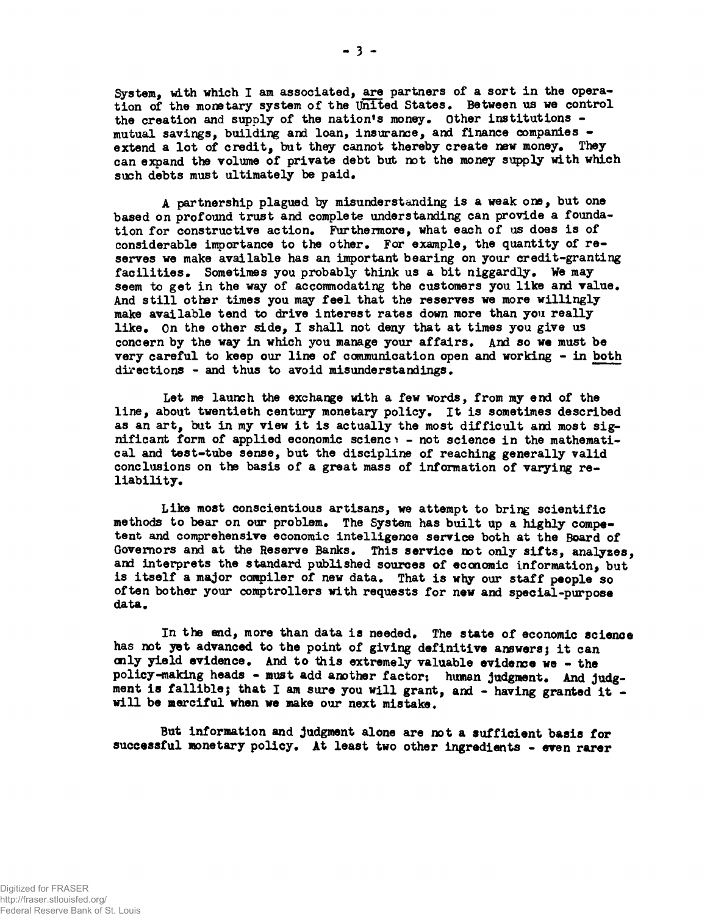System, with which I am associated, are partners of a sort in the operation of the monetary system of the United States. Between us we control the creation and supply of the nation's money. Other institutions mutual savings, building and loan, insurance, and finance companies extend a lot of credit, but they cannot thereby create new money. They can expand the volume of private debt but not the money supply with which such debts must ultimately be paid.

A partnership plagued by misunderstanding is a weak one, but one based on profound trust and complete understanding can provide a foundation for constructive action. Furthermore, what each of us does is of considerable importance to the other. For example, the quantity of reserves we make available has an important bearing on your credit-granting facilities. Sometimes you probably think us a bit niggardly. We may seem to get in the way of accommodating the customers you like and value. And still other times you may feel that the reserves we more willingly make available tend to drive interest rates down more than you really like. On the other side, I shall not deny that at times you give us concern by the way in which you manage your affairs. And so we must be very careful to keep our line of communication open and working - in both directions - and thus to avoid misunderstandings.

Let me launch the exchange with a few words, from my end of the line, about twentieth century monetary policy. It is sometimes described as an art, but in my view it is actually the most difficult and most significant form of applied economic science - not science in the mathematical and test-tube sense, but the discipline of reaching generally valid conclusions on the basis of a great mass of information of varying reliability.

Lika most conscientious artisans, we attempt to bring scientific methods to bear on our problem. The System has built up a highly competent and comprehensive economic intelligence service both at the Board of Governors and at the Reserve Banks. This service not only sifts, analyses, and interprets the standard published sources of economic information, but is itself a major compiler of new data. That is why our staff people so often bother your comptrollers with requests for new and special-purpose data.

In the end, more than data is needed. The state of economic science has not yet advanced to the point of giving definitive answers; it can cnly yield evidence. And to this extremely valuable evidence we - the policy-making heads - must add another factor: human judgment. And judgment is fallible; that I am sure you will grant, and - having granted it will be merciful when we make our next mistake.

But information and judgment alone are not a sufficient basis for successful monetary policy. At least two other ingredients - even rarer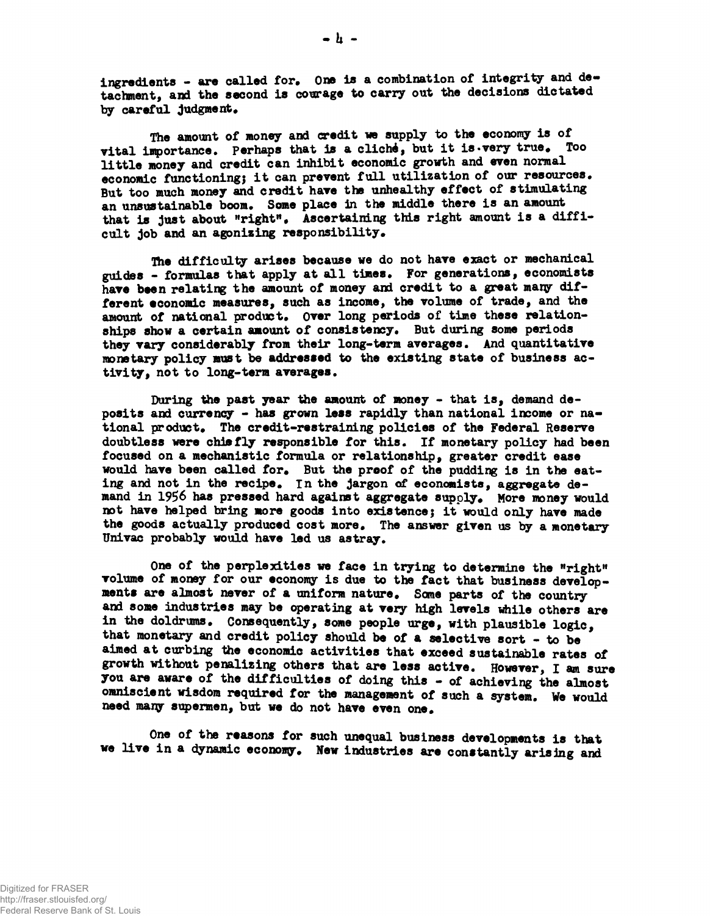**ingredients - are called for. One is a combination of integrity and detachment, and the second is courage to carry out the decisions dictated** by careful judgment.

**The amount of money and credit we supply to the economy is of vital importance. Perhaps that is a cliché, but it is-very true. Too little money and credit can inhibit economic growth and even normal economic functioning} it can prevent full utilization of our resources. But too much money and credit have the unhealthy effect of stimulating an unsustainable boom. Some place in the middle there is an amount that is just about "right". Ascertaining this right amount is a difficult job and an agonising responsibility.**

**The difficulty arises because we do not have exact or mechanical guides - formulas that apply at all times. For generations, economists have been relating the amount of money and credit to a great many different economic measures, such as income, the volume of trade, and the** amount of national product. Over long periods of time these relation**ships show a certain amount of consistency. But during some periods they vary considerably from their long-term averages. And quantitative monetary policy must be addressed to the existing state of business activity, not to long-term averages.**

**During the past year the amount of money - that is, demand deposits and currency - has grown less rapidly than national income or national product. The credit-restraining policies of the Federal Reserve doubtless were chiefly responsible for this. If monetary policy had been focused on a mechanistic formula or relationship, greater credit ease would have been called for. But the proof of the pudding is in the eating and not in the recipe, in the jargon of economists, aggregate demand in 1956 has pressed hard against aggregate supply. More money would not have helped bring more goods into existence; it would only have made the goods actually produced cost more. The answer given us by a monetary Univac probably would have led us astray.**

**One of the perplexities we face in trying to determine the "right"** volume of money for our economy is due to the fact that business develop**ments are almost never of a uniform nature. Some parts of the country and some industries may be operating at very high levels while others are in the doldrums. Consequently, some people urge, with plausible logic, that monetary and credit policy should be of a selective sort - to be aimed at curbing the economic activities that exceed sustainable rates of growth without penalising others that are less active. However, I am sure you are aware of the difficulties of doing this - of achieving the almost omniscient wisdom required for the management of such a system. We would need many supermen, but we do not have even one.**

**One of the reasons for such unequal business developments is that we live in a dynamic economy. New industries are constantly arising and**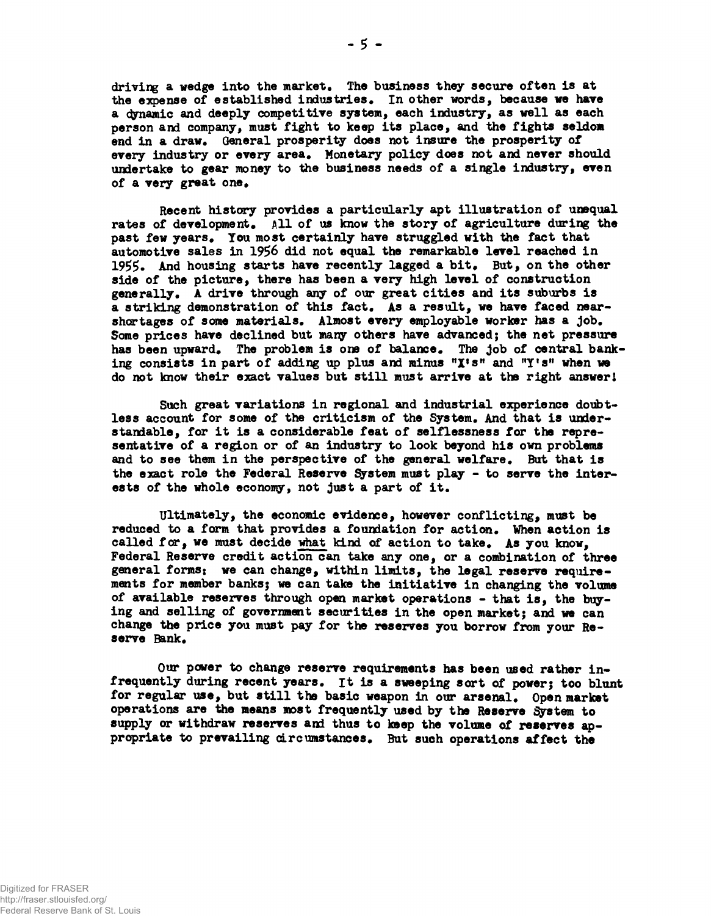driving a wedge into the market. The business they secure often is at **the expense of established industries. In other words, because we have a dynamic and deeply competitive system, each industry, as well as each person and company, must fight to keep its place, and the fights seldom end in a draw. General prosperity does not insure the prosperity of every industry or every area. Monetary policy does not and never should undertake to gear money to the business needs of a single industry, even of a very great one.**

**Recent history provides a particularly apt illustration of unequal rates of development. All of us know the story of agriculture during the past few years. You most certainly have struggled with the fact that automotive sales in 1956 did not equal the remarkable level reached in 1955. And housing starts have recently lagged a bit. But, on the other side of the picture, there has been a very high level of construction generally. A drive through any of our great cities and its suburbs is a striking demonstration of this fact. As a result, we have faced nearshortages of some materials. Almost every employable worker has a job. Some prices have declined but many others have advanced; the net pressure has been upward. The problem is one of balance. The job of central bank**ing consists in part of adding up plus and minus "X's" and "Y's" when we **do not know their exact values but still must arrive at the right answer!**

**Such great variations in regional and industrial experience doubtless account for some of the criticism of the System. And that is understandable, for it is a considerable feat of selflessness for the representative of a region or of an industry to look beyond his own problems and to see than in the perspective of the general welfare. But that is the exact role the Federal Reserve System must play - to serve the interests of the whole economy, not just a part of it.**

**Ultimately, the economic evidence, however conflicting, must be reduced to a farm that provides a foundation for action. When action is called for, we must decide what kind of action to take. As you know, Federal Reserve credit action can take any one, or a combination of three general forms; we can change, within limits, the legal reserve requirements for member banks; we can take the initiative in changing the volume of available reserves through open market operations - that is, the buying and selling of government securities in the open market; and we can change the price you must pay for the reserves you borrow from your Reserve Bank.**

**Our power to change reserve requirements has been used rather infrequently during recent years. It is a sweeping sort of power; too blunt for regular use, but still the basic weapon in our arsenal. Open market operations are the means most frequently used by the Reserve System to supply or withdraw reserves and thus to keep the volume of reserves appropriate to prevailing circumstances. But such operations affect the**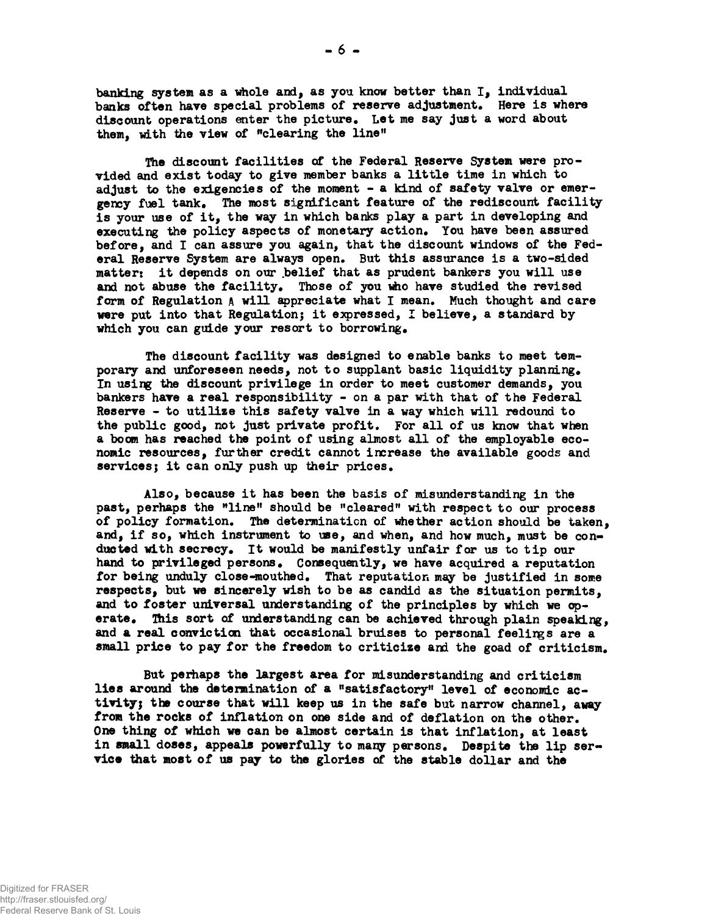banking system as a whole and, as you know better than I, individual banks often have special problems of reserve adjustment. Here is where discount operations enter the picture. Let me say just a word about them, with the view of "clearing the line"

The discount facilities of the Federal Reserve System were provided and exist today to give member banks a little time in which to adjust to the exigencies of the moment - a kind of safety valve or emergency fuel tank. The most significant feature of the rediscount facility is your use of it, the way in which banks play a part in developing and executing the policy aspects of monetary action. You have been assured before, and I can assure you again, that the discount windows of the Federal Reserve System are always open. But this assurance is a two-sided matter: it depends on our belief that as prudent bankers you will use and not abuse the facility. Those of you who have studied the revised form of Regulation A will appreciate what I mean. Much thought and care were put into that Regulation; it expressed, I believe, a standard by which you can guide your resort to borrowing.

The discount facility was designed to enable banks to meet temporary and unforeseen needs, not to supplant basic liquidity planning. In using the discount privilege in order to meet customer demands, you bankers have a real responsibility - on a par with that of the Federal Reserve - to utilize this safety valve in a way which will redound to the public good, not just private profit. For all of us know that when a boom has reached the point of using almost all of the employable economic resources, further credit cannot increase the available goods and services; it can only push up their prices.

Also, because it has been the basis of misunderstanding in the past, perhaps the "line" should be "cleared" with respect to our process of policy formation. The determination of whether action should be taken, and, if so, which instrument to use, and when, and how much, must be conducted with secrecy. It would be manifestly unfair for us to tip our hand to privileged persons. Consequently, we have acquired a reputation for being unduly close-mouthed. That reputation may be justified in some respects, but we sincerely wish to be as candid as the situation permits, and to foster universal understanding of the principles by which we operate. This sort of understanding can be achieved through plain speaking, and a real conviction that occasional bruises to personal feelings are a small price to pay for the freedom to criticize and the goad of criticism.

But perhaps the largest area for misunderstanding and criticism lies around the determination of a "satisfactory" level of economic activity; the course that will keep us in the safe but narrow channel, away from the rocks of inflation on one side and of deflation on the other. One thing of which we can be almost certain is that inflation, at least in small doses, appeals powerfully to many persons. Despite the lip service that most of us pay to the glories of the stable dollar and the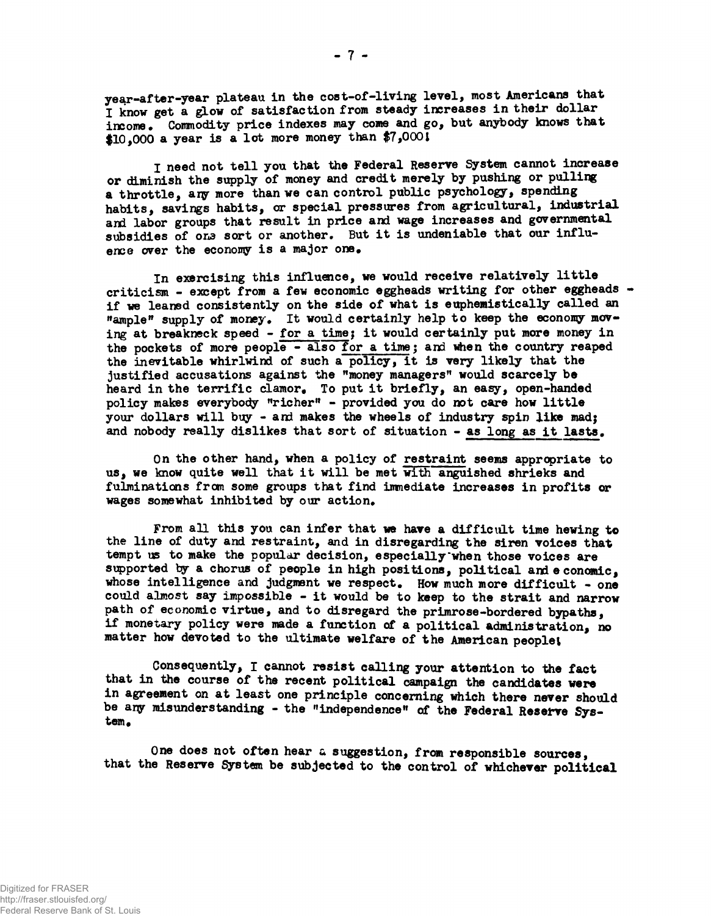year-after-year plateau in the cost-of-living level, most Americans that I know get a glow of satisfaction from steady increases in their dollar income. Commodity price indexes may come and go, but anybody knows that \$10,000 a year is a lot more money than \$7,0001

I need not tell you that the Federal Reserve System cannot increase or diminish the supply of money and credit merely by pushing or pulling a throttle, ary more than we can control public psychology, spending habits, savings habits, or special pressures from agricultural, industrial and labor groups that result in price and wage increases and governmental subsidies of one sort or another. But it is undeniable that our influence over the economy is a major one.

In exercising this influence, we would receive relatively little criticism - except from a few economic eggheads writing for other eggheads if we leaned consistently on the side of what is euphemistically called an "ample" supply of money. It would certainly help to keep the economy moving at breakneck speed - for a time; it would certainly put more money in the pockets of more people  $-$  also for a time; and when the country reaped the inevitable whirlwind of such a policy, it is very likely that the justified accusations against the "money managers" would scarcely be heard in the terrific clamor. To put it briefly, an easy, open-handed policy makes everybody "richer" - provided you do not care how little your dollars will buy - and makes the wheels of industry spin like mad; and nobody really dislikes that sort of situation - as long as it lasts.

On the other hand, when a policy of restraint seems appropriate to us, we know quite well that it will be met with anguished shrieks and fulminations from some groups that find immediate increases in profits or wages somewhat inhibited by our action.

From all this you can infer that we have a difficult time hewing to the line of duty and restraint, and in disregarding the siren voices that tempt us to make the popular decision, especially'when those voices are supported by a chorus of people in high positions, political and economic, whose intelligence and judgment we respect. How much more difficult - one could almost say impossible - it would be to keep to the strait and narrow path of economic virtue, and to disregard the primrose-bordered bypaths, if monetary policy were made a function of a political administration, no matter how devoted to the ultimate welfare of the American people!

Consequently, I cannot resist calling your attention to the fact that in the course of the recent political campaign the candidates were in agreement on at least one principle concerning which there never should be any misunderstanding - the "independence" of the Federal Reserve Sys*tem,*

One does not often hear a suggestion, from responsible sources, that the Reserve System be subjected to the control of whichever political